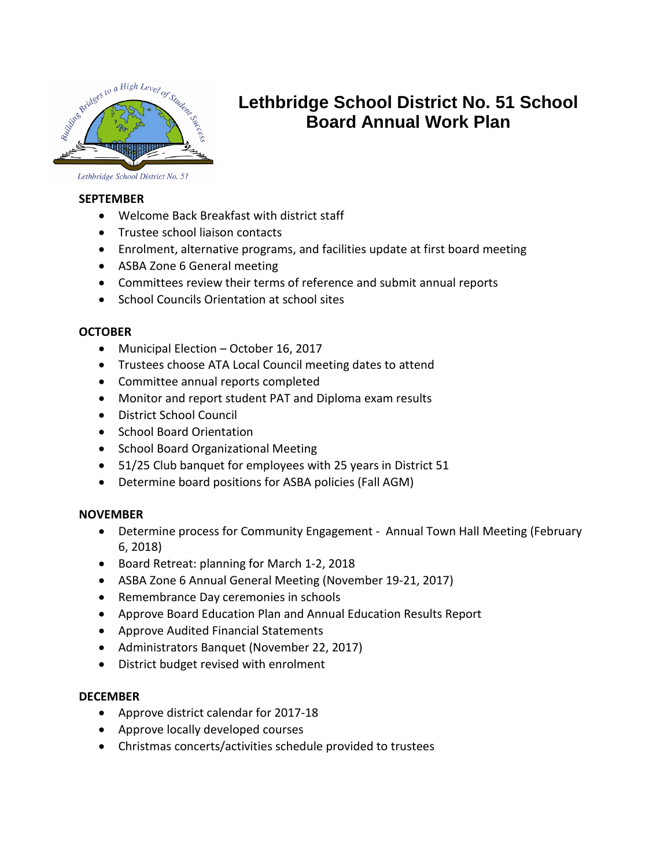

# **Lethbridge School District No. 51 School Board Annual Work Plan**

Lethbridge School District No. 51

## **SEPTEMBER**

- Welcome Back Breakfast with district staff
- Trustee school liaison contacts
- Enrolment, alternative programs, and facilities update at first board meeting
- ASBA Zone 6 General meeting
- Committees review their terms of reference and submit annual reports
- School Councils Orientation at school sites

# **OCTOBER**

- Municipal Election October 16, 2017
- Trustees choose ATA Local Council meeting dates to attend
- Committee annual reports completed
- Monitor and report student PAT and Diploma exam results
- District School Council
- School Board Orientation
- School Board Organizational Meeting
- 51/25 Club banquet for employees with 25 years in District 51
- Determine board positions for ASBA policies (Fall AGM)

## **NOVEMBER**

- Determine process for Community Engagement Annual Town Hall Meeting (February 6, 2018)
- Board Retreat: planning for March 1-2, 2018
- ASBA Zone 6 Annual General Meeting (November 19-21, 2017)
- Remembrance Day ceremonies in schools
- Approve Board Education Plan and Annual Education Results Report
- Approve Audited Financial Statements
- Administrators Banquet (November 22, 2017)
- District budget revised with enrolment

# **DECEMBER**

- Approve district calendar for 2017-18
- Approve locally developed courses
- Christmas concerts/activities schedule provided to trustees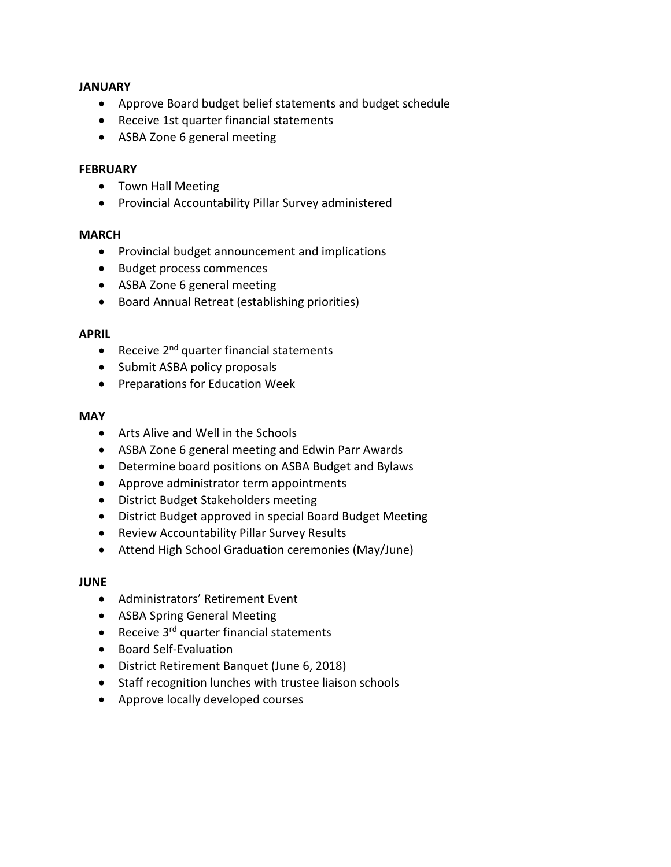#### **JANUARY**

- Approve Board budget belief statements and budget schedule
- Receive 1st quarter financial statements
- ASBA Zone 6 general meeting

#### **FEBRUARY**

- Town Hall Meeting
- Provincial Accountability Pillar Survey administered

#### **MARCH**

- Provincial budget announcement and implications
- Budget process commences
- ASBA Zone 6 general meeting
- Board Annual Retreat (establishing priorities)

#### **APRIL**

- Receive  $2^{nd}$  quarter financial statements
- Submit ASBA policy proposals
- Preparations for Education Week

## **MAY**

- Arts Alive and Well in the Schools
- ASBA Zone 6 general meeting and Edwin Parr Awards
- Determine board positions on ASBA Budget and Bylaws
- Approve administrator term appointments
- District Budget Stakeholders meeting
- District Budget approved in special Board Budget Meeting
- Review Accountability Pillar Survey Results
- Attend High School Graduation ceremonies (May/June)

## **JUNE**

- Administrators' Retirement Event
- ASBA Spring General Meeting
- Receive 3<sup>rd</sup> quarter financial statements
- Board Self-Evaluation
- District Retirement Banquet (June 6, 2018)
- Staff recognition lunches with trustee liaison schools
- Approve locally developed courses